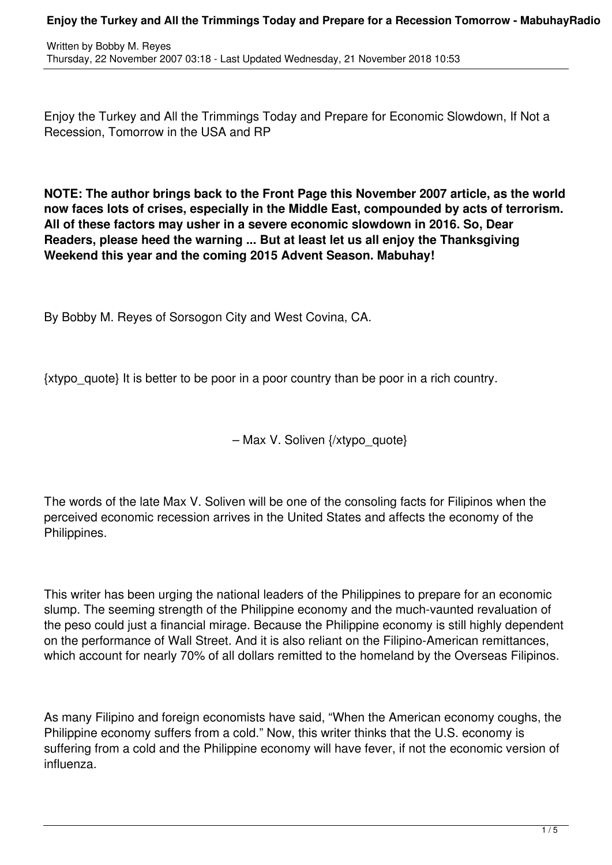Enjoy the Turkey and All the Trimmings Today and Prepare for Economic Slowdown, If Not a Recession, Tomorrow in the USA and RP

**NOTE: The author brings back to the Front Page this November 2007 article, as the world now faces lots of crises, especially in the Middle East, compounded by acts of terrorism. All of these factors may usher in a severe economic slowdown in 2016. So, Dear Readers, please heed the warning ... But at least let us all enjoy the Thanksgiving Weekend this year and the coming 2015 Advent Season. Mabuhay!**

By Bobby M. Reyes of Sorsogon City and West Covina, CA.

{xtypo\_quote} It is better to be poor in a poor country than be poor in a rich country.

– Max V. Soliven {/xtypo\_quote}

The words of the late Max V. Soliven will be one of the consoling facts for Filipinos when the perceived economic recession arrives in the United States and affects the economy of the Philippines.

This writer has been urging the national leaders of the Philippines to prepare for an economic slump. The seeming strength of the Philippine economy and the much-vaunted revaluation of the peso could just a financial mirage. Because the Philippine economy is still highly dependent on the performance of Wall Street. And it is also reliant on the Filipino-American remittances, which account for nearly 70% of all dollars remitted to the homeland by the Overseas Filipinos.

As many Filipino and foreign economists have said, "When the American economy coughs, the Philippine economy suffers from a cold." Now, this writer thinks that the U.S. economy is suffering from a cold and the Philippine economy will have fever, if not the economic version of influenza.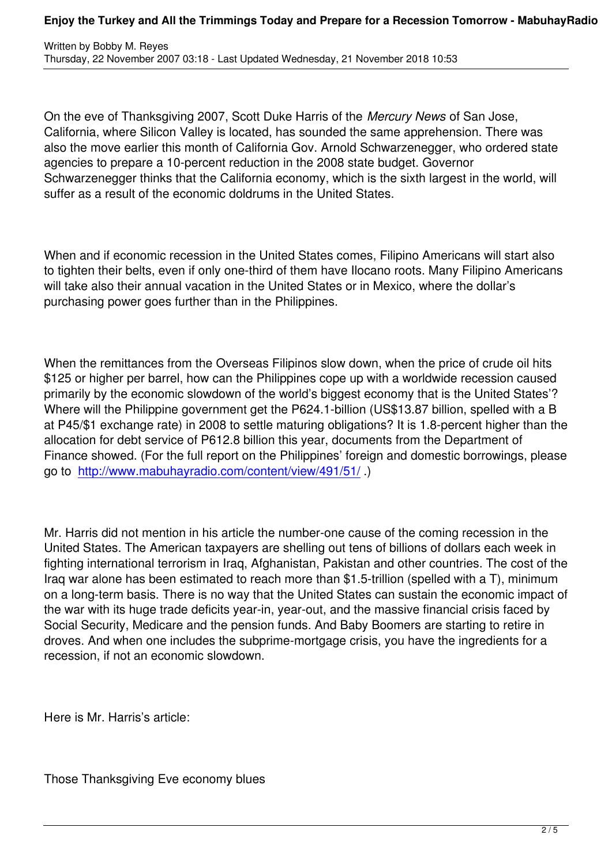On the eve of Thanksgiving 2007, Scott Duke Harris of the *Mercury News* of San Jose, California, where Silicon Valley is located, has sounded the same apprehension. There was also the move earlier this month of California Gov. Arnold Schwarzenegger, who ordered state agencies to prepare a 10-percent reduction in the 2008 state budget. Governor Schwarzenegger thinks that the California economy, which is the sixth largest in the world, will suffer as a result of the economic doldrums in the United States.

When and if economic recession in the United States comes, Filipino Americans will start also to tighten their belts, even if only one-third of them have Ilocano roots. Many Filipino Americans will take also their annual vacation in the United States or in Mexico, where the dollar's purchasing power goes further than in the Philippines.

When the remittances from the Overseas Filipinos slow down, when the price of crude oil hits \$125 or higher per barrel, how can the Philippines cope up with a worldwide recession caused primarily by the economic slowdown of the world's biggest economy that is the United States'? Where will the Philippine government get the P624.1-billion (US\$13.87 billion, spelled with a B at P45/\$1 exchange rate) in 2008 to settle maturing obligations? It is 1.8-percent higher than the allocation for debt service of P612.8 billion this year, documents from the Department of Finance showed. (For the full report on the Philippines' foreign and domestic borrowings, please go to http://www.mabuhayradio.com/content/view/491/51/ .)

Mr. H[arris did not mention in his article the number-one ca](content/view/491/51/)use of the coming recession in the United States. The American taxpayers are shelling out tens of billions of dollars each week in fighting international terrorism in Iraq, Afghanistan, Pakistan and other countries. The cost of the Iraq war alone has been estimated to reach more than \$1.5-trillion (spelled with a T), minimum on a long-term basis. There is no way that the United States can sustain the economic impact of the war with its huge trade deficits year-in, year-out, and the massive financial crisis faced by Social Security, Medicare and the pension funds. And Baby Boomers are starting to retire in droves. And when one includes the subprime-mortgage crisis, you have the ingredients for a recession, if not an economic slowdown.

Here is Mr. Harris's article:

Those Thanksgiving Eve economy blues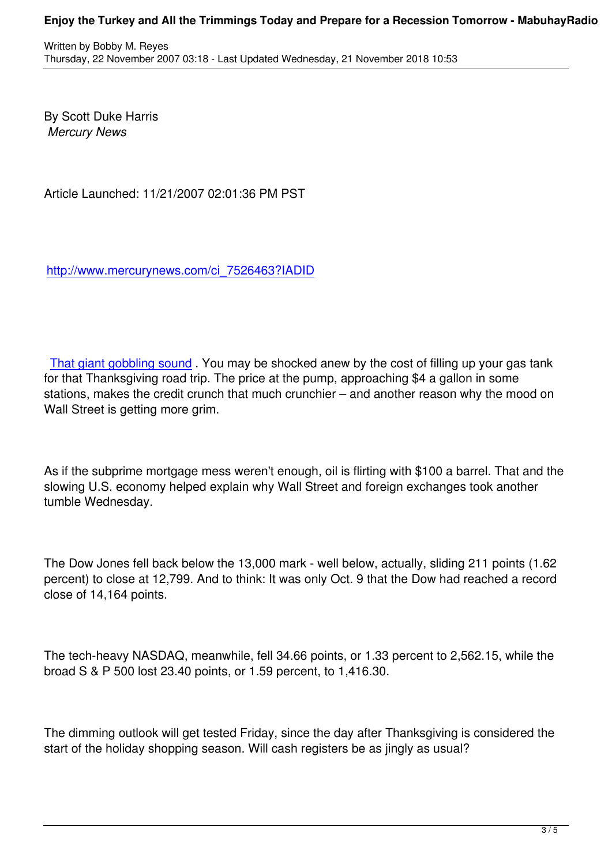By Scott Duke Harris  *Mercury News*

Article Launched: 11/21/2007 02:01:36 PM PST

http://www.mercurynews.com/ci\_7526463?IADID

That giant gobbling sound. You may be shocked anew by the cost of filling up your gas tank for that Thanksgiving road trip. The price at the pump, approaching \$4 a gallon in some stations, makes the credit crunch that much crunchier – and another reason why the mood on [Wall Street is getting more g](http://www.mercurynews.com/markets/ci_7523247)rim.

As if the subprime mortgage mess weren't enough, oil is flirting with \$100 a barrel. That and the slowing U.S. economy helped explain why Wall Street and foreign exchanges took another tumble Wednesday.

The Dow Jones fell back below the 13,000 mark - well below, actually, sliding 211 points (1.62 percent) to close at 12,799. And to think: It was only Oct. 9 that the Dow had reached a record close of 14,164 points.

The tech-heavy NASDAQ, meanwhile, fell 34.66 points, or 1.33 percent to 2,562.15, while the broad S & P 500 lost 23.40 points, or 1.59 percent, to 1,416.30.

The dimming outlook will get tested Friday, since the day after Thanksgiving is considered the start of the holiday shopping season. Will cash registers be as jingly as usual?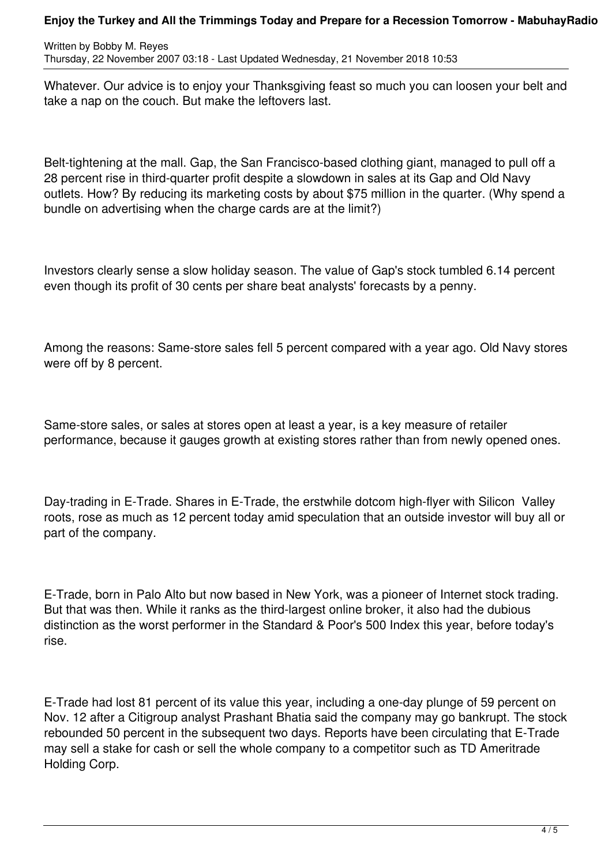## **Enjoy the Turkey and All the Trimmings Today and Prepare for a Recession Tomorrow - MabuhayRadio**

Written by Bobby M. Reyes Thursday, 22 November 2007 03:18 - Last Updated Wednesday, 21 November 2018 10:53

Whatever. Our advice is to enjoy your Thanksgiving feast so much you can loosen your belt and take a nap on the couch. But make the leftovers last.

Belt-tightening at the mall. Gap, the San Francisco-based clothing giant, managed to pull off a 28 percent rise in third-quarter profit despite a slowdown in sales at its Gap and Old Navy outlets. How? By reducing its marketing costs by about \$75 million in the quarter. (Why spend a bundle on advertising when the charge cards are at the limit?)

Investors clearly sense a slow holiday season. The value of Gap's stock tumbled 6.14 percent even though its profit of 30 cents per share beat analysts' forecasts by a penny.

Among the reasons: Same-store sales fell 5 percent compared with a year ago. Old Navy stores were off by 8 percent.

Same-store sales, or sales at stores open at least a year, is a key measure of retailer performance, because it gauges growth at existing stores rather than from newly opened ones.

Day-trading in E-Trade. Shares in E-Trade, the erstwhile dotcom high-flyer with Silicon Valley roots, rose as much as 12 percent today amid speculation that an outside investor will buy all or part of the company.

E-Trade, born in Palo Alto but now based in New York, was a pioneer of Internet stock trading. But that was then. While it ranks as the third-largest online broker, it also had the dubious distinction as the worst performer in the Standard & Poor's 500 Index this year, before today's rise.

E-Trade had lost 81 percent of its value this year, including a one-day plunge of 59 percent on Nov. 12 after a Citigroup analyst Prashant Bhatia said the company may go bankrupt. The stock rebounded 50 percent in the subsequent two days. Reports have been circulating that E-Trade may sell a stake for cash or sell the whole company to a competitor such as TD Ameritrade Holding Corp.